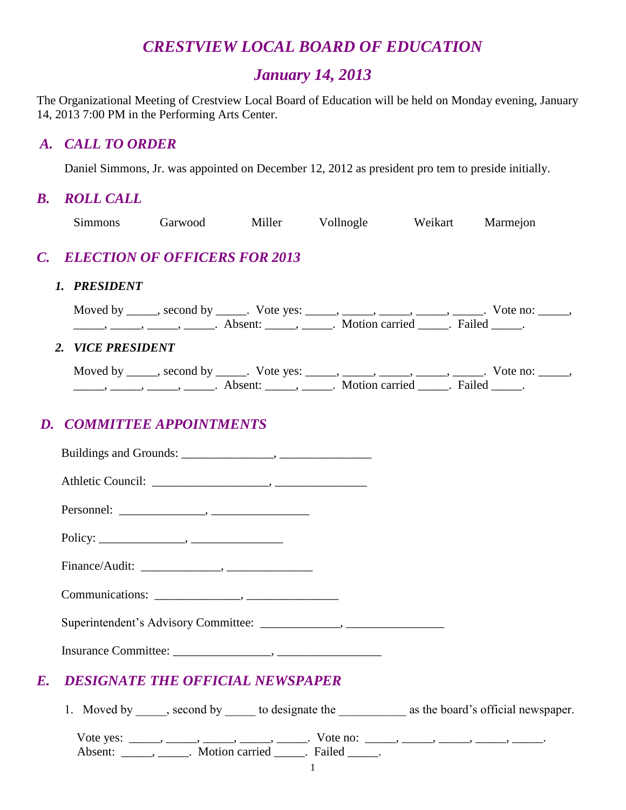# *CRESTVIEW LOCAL BOARD OF EDUCATION*

# *January 14, 2013*

The Organizational Meeting of Crestview Local Board of Education will be held on Monday evening, January 14, 2013 7:00 PM in the Performing Arts Center.

#### *A. CALL TO ORDER*

Daniel Simmons, Jr. was appointed on December 12, 2012 as president pro tem to preside initially.

## *B. ROLL CALL*

| <b>Simmons</b>    | Garwood Miller Vollnogle Weikart                                                                                                                                                                                                                                                                                                                                                                                                                                                                                             |  | Marmejon |  |
|-------------------|------------------------------------------------------------------------------------------------------------------------------------------------------------------------------------------------------------------------------------------------------------------------------------------------------------------------------------------------------------------------------------------------------------------------------------------------------------------------------------------------------------------------------|--|----------|--|
|                   | C. ELECTION OF OFFICERS FOR 2013                                                                                                                                                                                                                                                                                                                                                                                                                                                                                             |  |          |  |
| 1. PRESIDENT      |                                                                                                                                                                                                                                                                                                                                                                                                                                                                                                                              |  |          |  |
|                   | Moved by _____, second by _____. Vote yes: _____, _____, _____, _____, _____. Vote no: _____,<br>$\frac{1}{1}$ , $\frac{1}{1}$ , $\frac{1}{1}$ , $\frac{1}{1}$ , $\frac{1}{1}$ , $\frac{1}{1}$ , $\frac{1}{1}$ , $\frac{1}{1}$ , $\frac{1}{1}$ , $\frac{1}{1}$ , $\frac{1}{1}$ , $\frac{1}{1}$ , $\frac{1}{1}$ , $\frac{1}{1}$ , $\frac{1}{1}$ , $\frac{1}{1}$ , $\frac{1}{1}$ , $\frac{1}{1}$ , $\frac{1}{1}$ , $\frac{1}{1}$ ,                                                                                             |  |          |  |
| 2. VICE PRESIDENT |                                                                                                                                                                                                                                                                                                                                                                                                                                                                                                                              |  |          |  |
|                   | Moved by _____, second by _____. Vote yes: _____, _____, _____, _____, _____. Vote no: _____,<br>$\frac{1}{1}, \frac{1}{1}, \frac{1}{1}, \frac{1}{1}, \frac{1}{1}, \frac{1}{1}, \frac{1}{1}, \frac{1}{1}, \frac{1}{1}, \frac{1}{1}, \frac{1}{1}, \frac{1}{1}, \frac{1}{1}, \frac{1}{1}, \frac{1}{1}, \frac{1}{1}, \frac{1}{1}, \frac{1}{1}, \frac{1}{1}, \frac{1}{1}, \frac{1}{1}, \frac{1}{1}, \frac{1}{1}, \frac{1}{1}, \frac{1}{1}, \frac{1}{1}, \frac{1}{1}, \frac{1}{1}, \frac{1}{1}, \frac{1}{1}, \frac{1}{1}, \frac{$ |  |          |  |

# *D. COMMITTEE APPOINTMENTS*

| E. | <b>DESIGNATE THE OFFICIAL NEWSPAPER</b>                                                                                                                 |
|----|---------------------------------------------------------------------------------------------------------------------------------------------------------|
|    | 1. Moved by _____, second by ______ to designate the _________________ as the board's official newspaper.                                               |
|    | Vote yes: _____, _____, _____, _____, ______. Vote no: _____, _____, _____, _____, ______<br>Absent: _____, ______. Motion carried _____. Failed _____. |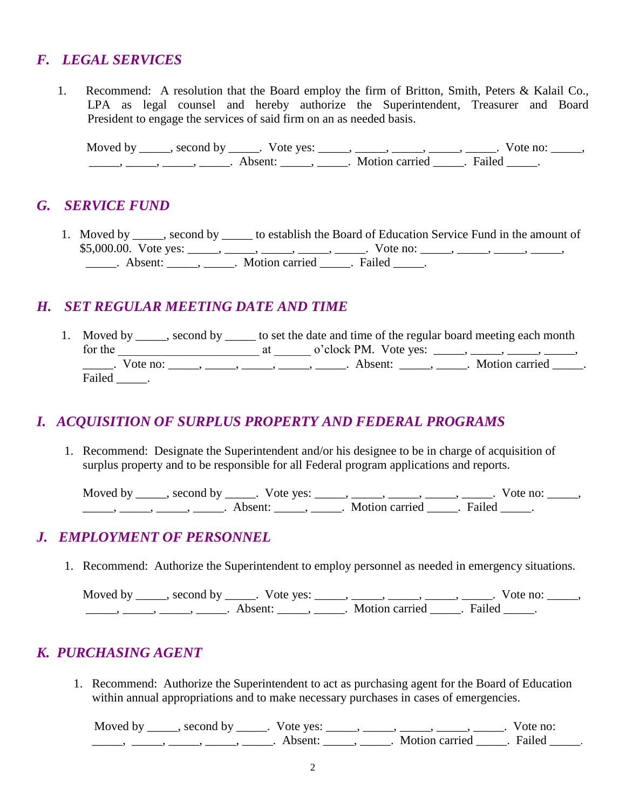## *F. LEGAL SERVICES*

1. Recommend: A resolution that the Board employ the firm of Britton, Smith, Peters & Kalail Co., LPA as legal counsel and hereby authorize the Superintendent, Treasurer and Board President to engage the services of said firm on an as needed basis.

Moved by  $\_\_\_\_\$ , second by  $\_\_\_\_\$ . Vote yes:  $\_\_\_\_\_\_\_\_\_\_\_\_\_\_\_\_\_\_$ ,  $\_\_\_\_\_\_\_\_\_\_\_\_\_\_\_$ . Vote no:  $\_\_\_\_\_\_\$ \_\_\_\_\_, \_\_\_\_\_, \_\_\_\_\_, \_\_\_\_\_. Absent: \_\_\_\_\_, \_\_\_\_\_. Motion carried \_\_\_\_\_. Failed \_\_\_\_\_.

#### *G. SERVICE FUND*

1. Moved by \_\_\_\_\_, second by \_\_\_\_\_ to establish the Board of Education Service Fund in the amount of \$5,000.00. Vote yes: \_\_\_\_, \_\_\_\_, \_\_\_\_, \_\_\_\_, \_\_\_\_, Vote no: \_\_\_\_, \_\_\_\_, \_\_\_\_, \_\_\_\_, \_\_\_\_, \_\_\_\_\_\_. Absent: \_\_\_\_\_\_, \_\_\_\_\_\_. Motion carried \_\_\_\_\_. Failed \_\_\_\_\_.

#### *H. SET REGULAR MEETING DATE AND TIME*

1. Moved by second by second by set the date and time of the regular board meeting each month for the  $\begin{array}{ccc}\n \text{at} & \text{o'clock PM.} \\
\end{array}$  volvet yes:  $\begin{array}{ccc}\n \text{at} \\
\end{array}$ \_\_\_\_\_\_. Vote no: \_\_\_\_\_, \_\_\_\_\_, \_\_\_\_\_, \_\_\_\_\_, \_\_\_\_\_. Absent: \_\_\_\_\_, \_\_\_\_\_. Motion carried \_\_\_\_\_. Failed .

## *I. ACQUISITION OF SURPLUS PROPERTY AND FEDERAL PROGRAMS*

1. Recommend: Designate the Superintendent and/or his designee to be in charge of acquisition of surplus property and to be responsible for all Federal program applications and reports.

Moved by \_\_\_\_\_, second by \_\_\_\_\_. Vote yes: \_\_\_\_\_, \_\_\_\_\_, \_\_\_\_\_, \_\_\_\_\_, \_\_\_\_\_. Vote no: \_\_\_\_\_, \_\_\_\_\_\_, \_\_\_\_\_\_, \_\_\_\_\_\_\_. Absent: \_\_\_\_\_\_, \_\_\_\_\_\_. Motion carried \_\_\_\_\_. Failed \_\_\_\_\_.

## *J. EMPLOYMENT OF PERSONNEL*

1. Recommend: Authorize the Superintendent to employ personnel as needed in emergency situations.

Moved by \_\_\_\_\_, second by \_\_\_\_\_. Vote yes: \_\_\_\_\_, \_\_\_\_\_, \_\_\_\_\_, \_\_\_\_\_, \_\_\_\_\_. Vote no: \_\_\_\_\_, \_\_\_\_\_, \_\_\_\_\_, \_\_\_\_\_, \_\_\_\_\_. Absent: \_\_\_\_\_, \_\_\_\_\_. Motion carried \_\_\_\_\_. Failed \_\_\_\_\_.

## *K. PURCHASING AGENT*

1. Recommend: Authorize the Superintendent to act as purchasing agent for the Board of Education within annual appropriations and to make necessary purchases in cases of emergencies.

Moved by \_\_\_\_\_, second by \_\_\_\_\_. Vote yes: \_\_\_\_\_, \_\_\_\_\_, \_\_\_\_\_, \_\_\_\_\_, \_\_\_\_\_. Vote no: \_\_\_\_\_, \_\_\_\_\_, \_\_\_\_\_, \_\_\_\_\_, \_\_\_\_\_. Absent: \_\_\_\_\_, \_\_\_\_\_. Motion carried \_\_\_\_\_. Failed \_\_\_\_\_.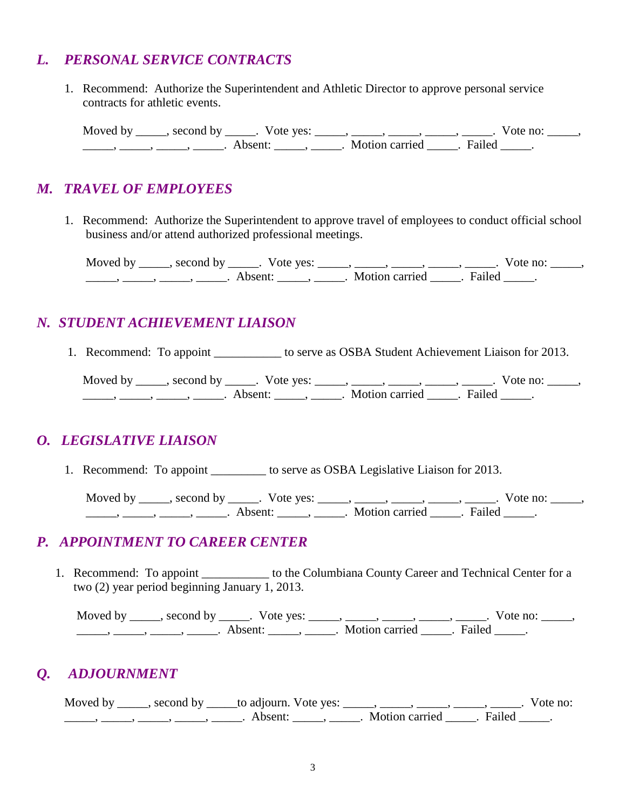## *L. PERSONAL SERVICE CONTRACTS*

1. Recommend: Authorize the Superintendent and Athletic Director to approve personal service contracts for athletic events.

Moved by \_\_\_\_\_, second by \_\_\_\_\_. Vote yes: \_\_\_\_\_, \_\_\_\_\_, \_\_\_\_\_, \_\_\_\_\_, \_\_\_\_\_. Vote no: \_\_\_\_\_,  $\frac{1}{\sqrt{2\pi}}$ ,  $\frac{1}{\sqrt{2\pi}}$ ,  $\frac{1}{\sqrt{2\pi}}$ ,  $\frac{1}{\sqrt{2\pi}}$ ,  $\frac{1}{\sqrt{2\pi}}$ ,  $\frac{1}{\sqrt{2\pi}}$   $\frac{1}{\sqrt{2\pi}}$   $\frac{1}{\sqrt{2\pi}}$   $\frac{1}{\sqrt{2\pi}}$   $\frac{1}{\sqrt{2\pi}}$   $\frac{1}{\sqrt{2\pi}}$   $\frac{1}{\sqrt{2\pi}}$   $\frac{1}{\sqrt{2\pi}}$   $\frac{1}{\sqrt{2\pi}}$   $\frac{1}{$ 

#### *M. TRAVEL OF EMPLOYEES*

 1. Recommend: Authorize the Superintendent to approve travel of employees to conduct official school business and/or attend authorized professional meetings.

Moved by \_\_\_\_\_, second by \_\_\_\_\_. Vote yes: \_\_\_\_\_, \_\_\_\_\_, \_\_\_\_\_, \_\_\_\_\_, \_\_\_\_\_. Vote no: \_\_\_\_\_, \_\_\_\_\_, \_\_\_\_\_, \_\_\_\_\_, \_\_\_\_\_. Absent: \_\_\_\_\_, \_\_\_\_\_. Motion carried \_\_\_\_\_. Failed \_\_\_\_\_.

## *N. STUDENT ACHIEVEMENT LIAISON*

1. Recommend: To appoint \_\_\_\_\_\_\_\_\_\_\_ to serve as OSBA Student Achievement Liaison for 2013.

Moved by \_\_\_\_\_, second by \_\_\_\_\_. Vote yes: \_\_\_\_\_, \_\_\_\_\_, \_\_\_\_\_, \_\_\_\_\_, \_\_\_\_\_. Vote no: \_\_\_\_\_, \_\_\_\_\_, \_\_\_\_\_, \_\_\_\_\_, \_\_\_\_\_. Absent: \_\_\_\_\_, \_\_\_\_\_. Motion carried \_\_\_\_\_. Failed \_\_\_\_\_.

## *O. LEGISLATIVE LIAISON*

1. Recommend: To appoint \_\_\_\_\_\_\_\_\_\_ to serve as OSBA Legislative Liaison for 2013.

Moved by \_\_\_\_\_, second by \_\_\_\_\_. Vote yes: \_\_\_\_\_, \_\_\_\_\_, \_\_\_\_\_, \_\_\_\_\_, Vote no: \_\_\_\_\_, \_\_\_\_\_\_, \_\_\_\_\_\_, \_\_\_\_\_\_\_. Absent: \_\_\_\_\_\_, \_\_\_\_\_\_. Motion carried \_\_\_\_\_. Failed \_\_\_\_\_.

## *P. APPOINTMENT TO CAREER CENTER*

1. Recommend: To appoint \_\_\_\_\_\_\_\_\_\_\_ to the Columbiana County Career and Technical Center for a two (2) year period beginning January 1, 2013.

Moved by \_\_\_\_\_, second by \_\_\_\_\_. Vote yes: \_\_\_\_\_, \_\_\_\_\_, \_\_\_\_\_, \_\_\_\_\_, \_\_\_\_\_. Vote no: \_\_\_\_\_, \_\_\_\_\_, \_\_\_\_\_, \_\_\_\_\_, \_\_\_\_\_. Absent: \_\_\_\_\_, \_\_\_\_\_. Motion carried \_\_\_\_\_. Failed \_\_\_\_\_.

# *Q. ADJOURNMENT*

Moved by \_\_\_\_, second by \_\_\_\_\_to adjourn. Vote yes: \_\_\_\_\_, \_\_\_\_\_, \_\_\_\_\_, \_\_\_\_\_, \_\_\_\_\_. Vote no: \_\_\_\_\_, \_\_\_\_\_, \_\_\_\_\_, \_\_\_\_\_, \_\_\_\_\_. Absent: \_\_\_\_\_, \_\_\_\_\_. Motion carried \_\_\_\_\_. Failed \_\_\_\_\_.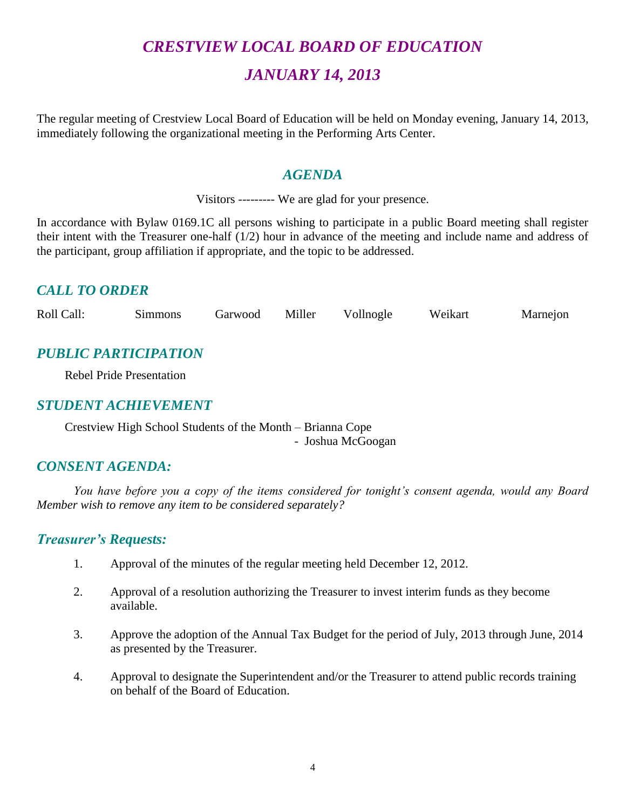# *CRESTVIEW LOCAL BOARD OF EDUCATION JANUARY 14, 2013*

The regular meeting of Crestview Local Board of Education will be held on Monday evening, January 14, 2013, immediately following the organizational meeting in the Performing Arts Center.

#### *AGENDA*

Visitors --------- We are glad for your presence.

In accordance with Bylaw 0169.1C all persons wishing to participate in a public Board meeting shall register their intent with the Treasurer one-half (1/2) hour in advance of the meeting and include name and address of the participant, group affiliation if appropriate, and the topic to be addressed.

## *CALL TO ORDER*

Roll Call: Simmons Garwood Miller Vollnogle Weikart Marnejon

# *PUBLIC PARTICIPATION*

Rebel Pride Presentation

#### *STUDENT ACHIEVEMENT*

Crestview High School Students of the Month – Brianna Cope - Joshua McGoogan

## *CONSENT AGENDA:*

*You have before you a copy of the items considered for tonight's consent agenda, would any Board Member wish to remove any item to be considered separately?*

## *Treasurer's Requests:*

- 1. Approval of the minutes of the regular meeting held December 12, 2012.
- 2. Approval of a resolution authorizing the Treasurer to invest interim funds as they become available.
- 3. Approve the adoption of the Annual Tax Budget for the period of July, 2013 through June, 2014 as presented by the Treasurer.
- 4. Approval to designate the Superintendent and/or the Treasurer to attend public records training on behalf of the Board of Education.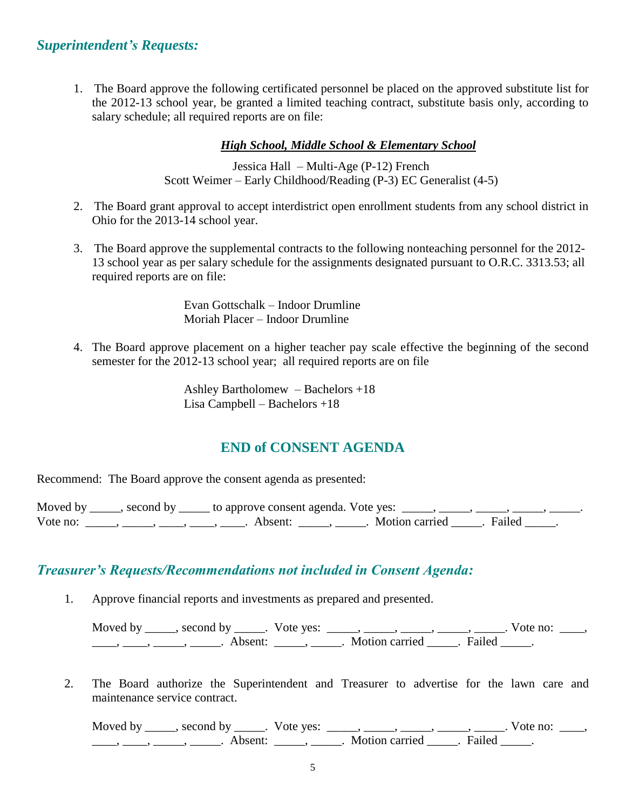#### *Superintendent's Requests:*

1. The Board approve the following certificated personnel be placed on the approved substitute list for the 2012-13 school year, be granted a limited teaching contract, substitute basis only, according to salary schedule; all required reports are on file:

#### *High School, Middle School & Elementary School*

Jessica Hall – Multi-Age (P-12) French Scott Weimer – Early Childhood/Reading (P-3) EC Generalist (4-5)

- 2. The Board grant approval to accept interdistrict open enrollment students from any school district in Ohio for the 2013-14 school year.
- 3. The Board approve the supplemental contracts to the following nonteaching personnel for the 2012- 13 school year as per salary schedule for the assignments designated pursuant to O.R.C. 3313.53; all required reports are on file:

Evan Gottschalk – Indoor Drumline Moriah Placer – Indoor Drumline

4. The Board approve placement on a higher teacher pay scale effective the beginning of the second semester for the 2012-13 school year; all required reports are on file

> Ashley Bartholomew – Bachelors +18 Lisa Campbell – Bachelors +18

#### **END of CONSENT AGENDA**

Recommend: The Board approve the consent agenda as presented:

|          | Moved by _____, second by _____ to approve consent agenda. Vote yes: |                           |  |
|----------|----------------------------------------------------------------------|---------------------------|--|
| Vote no: | Absent <sup>.</sup>                                                  | . Motion carried . Failed |  |

## *Treasurer's Requests/Recommendations not included in Consent Agenda:*

1. Approve financial reports and investments as prepared and presented.

Moved by \_\_\_\_\_, second by \_\_\_\_\_. Vote yes:  $\frac{1}{\sqrt{2}}$ , \_\_\_\_, \_\_\_\_, \_\_\_\_, \_\_\_\_. Vote no: \_\_\_, \_\_\_\_\_, \_\_\_\_\_\_, \_\_\_\_\_\_\_. Absent: \_\_\_\_\_\_, \_\_\_\_\_\_. Motion carried \_\_\_\_\_\_. Failed \_\_\_\_\_.

2. The Board authorize the Superintendent and Treasurer to advertise for the lawn care and maintenance service contract.

Moved by \_\_\_\_\_, second by \_\_\_\_\_. Vote yes: \_\_\_\_\_, \_\_\_\_\_, \_\_\_\_\_, \_\_\_\_\_, \_\_\_\_\_. Vote no: \_\_\_\_,  $\frac{1}{\sqrt{1-\frac{1}{2}}}, \frac{1}{\sqrt{1-\frac{1}{2}}}, \frac{1}{\sqrt{1-\frac{1}{2}}}, \frac{1}{\sqrt{1-\frac{1}{2}}}, \frac{1}{\sqrt{1-\frac{1}{2}}}, \frac{1}{\sqrt{1-\frac{1}{2}}}, \frac{1}{\sqrt{1-\frac{1}{2}}}, \frac{1}{\sqrt{1-\frac{1}{2}}}, \frac{1}{\sqrt{1-\frac{1}{2}}}, \frac{1}{\sqrt{1-\frac{1}{2}}}, \frac{1}{\sqrt{1-\frac{1}{2}}}, \frac{1}{\sqrt{1-\frac{1}{2}}}, \frac{1}{\sqrt{1-\frac{1}{2}}$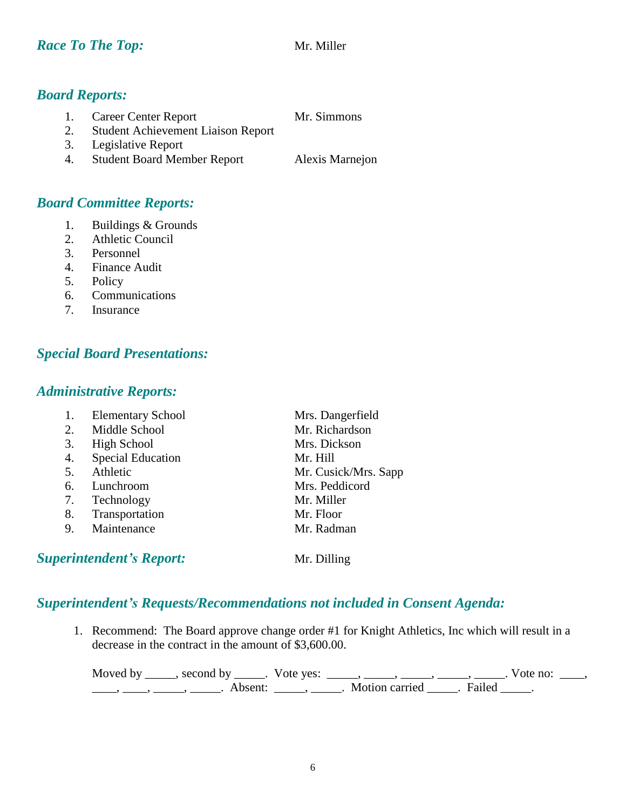## *Board Reports:*

- 1. Career Center Report Mr. Simmons
- 2. Student Achievement Liaison Report
- 3. Legislative Report
- 4. Student Board Member Report Alexis Marnejon

## *Board Committee Reports:*

- 1. Buildings & Grounds
- 2. Athletic Council
- 3. Personnel
- 4. Finance Audit
- 5. Policy
- 6. Communications
- 7. Insurance

# *Special Board Presentations:*

## *Administrative Reports:*

|    | <b>Elementary School</b> | Mrs. Dangerfield     |
|----|--------------------------|----------------------|
| 2. | Middle School            | Mr. Richardson       |
| 3. | <b>High School</b>       | Mrs. Dickson         |
| 4. | <b>Special Education</b> | Mr. Hill             |
| 5. | Athletic                 | Mr. Cusick/Mrs. Sapp |
| 6. | Lunchroom                | Mrs. Peddicord       |
| 7. | Technology               | Mr. Miller           |
| 8. | Transportation           | Mr. Floor            |
| 9. | Maintenance              | Mr. Radman           |
|    |                          |                      |

**Superintendent's Report:** Mr. Dilling

# *Superintendent's Requests/Recommendations not included in Consent Agenda:*

1. Recommend: The Board approve change order #1 for Knight Athletics, Inc which will result in a decrease in the contract in the amount of \$3,600.00.

Moved by \_\_\_\_\_, second by \_\_\_\_\_. Vote yes:  $\frac{1}{\sqrt{2}}$ , \_\_\_\_, \_\_\_\_, \_\_\_\_, \_\_\_\_. Vote no: \_\_\_, \_\_\_\_, \_\_\_\_\_, \_\_\_\_\_\_, Absent: \_\_\_\_\_, \_\_\_\_\_. Motion carried \_\_\_\_\_. Failed \_\_\_\_\_.